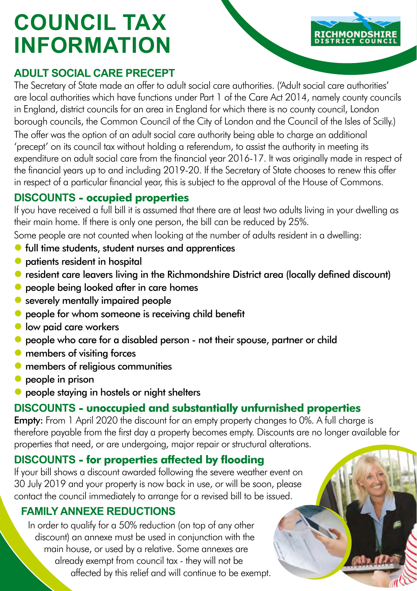# **COUNCIL TAX INFORMATION**

# **ADULT SOCIAL CARE PRECEPT**

The Secretary of State made an offer to adult social care authorities. ('Adult social care authorities' are local authorities which have functions under Part 1 of the Care Act 2014, namely county councils in England, district councils for an area in England for which there is no county council, London borough councils, the Common Council of the City of London and the Council of the Isles of Scilly.) The offer was the option of an adult social care authority being able to charge an additional 'precept' on its council tax without holding a referendum, to assist the authority in meeting its expenditure on adult social care from the financial year 2016-17. It was originally made in respect of the financial years up to and including 2019-20. If the Secretary of State chooses to renew this offer in respect of a particular financial year, this is subject to the approval of the House of Commons.

# **DISCOUNTS - occupied properties**

If you have received a full bill it is assumed that there are at least two adults living in your dwelling as their main home. If there is only one person, the bill can be reduced by 25%.

Some people are not counted when looking at the number of adults resident in a dwelling:

- **•** full time students, student nurses and apprentices
- $\bullet$  patients resident in hospital
- resident care leavers living in the Richmondshire District area (locally defined discount)
- **•** people being looked after in care homes
- severely mentally impaired people
- **•** people for whom someone is receiving child benefit
- **low paid care workers**
- people who care for a disabled person not their spouse, partner or child
- **O** members of visiting forces
- **O** members of religious communities
- $\bullet$  people in prison
- **•** people staying in hostels or night shelters

## **DISCOUNTS - unoccupied and substantially unfurnished properties**

**Empty:** From 1 April 2020 the discount for an empty property changes to 0%. A full charge is therefore payable from the first day a property becomes empty. Discounts are no longer available for properties that need, or are undergoing, major repair or structural alterations.

# **DISCOUNTS - for properties affected by flooding**

If your bill shows a discount awarded following the severe weather event on 30 July 2019 and your property is now back in use, or will be soon, please contact the council immediately to arrange for a revised bill to be issued.

## **FAMILY ANNEXE REDUCTIONS**

In order to qualify for a 50% reduction (on top of any other discount) an annexe must be used in conjunction with the main house, or used by a relative. Some annexes are already exempt from council tax - they will not be affected by this relief and will continue to be exempt.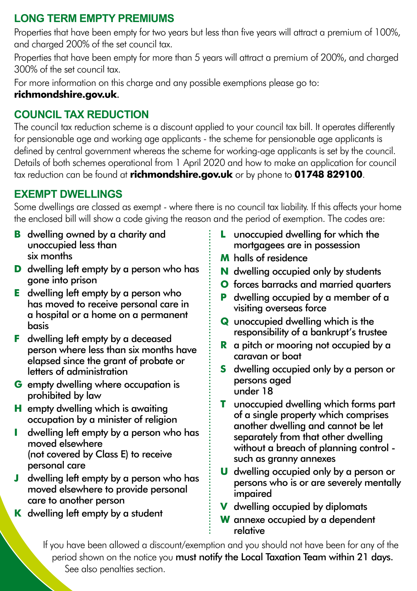## **LONG TERM EMPTY PREMIUMS**

Properties that have been empty for two years but less than five years will attract a premium of 100%, and charged 200% of the set council tax.

Properties that have been empty for more than 5 years will attract a premium of 200%, and charged 300% of the set council tax.

For more information on this charge and any possible exemptions please go to:

#### **[richmondshire.gov.uk](https://www.richmondshire.gov.uk/council-tax-and-business-rates/your-council-tax/council-tax-premiums-for-long-term-empty-properties/)**.

# **COUNCIL TAX REDUCTION**

The council tax reduction scheme is a discount applied to your council tax bill. It operates differently for pensionable age and working age applicants - the scheme for pensionable age applicants is defined by central government whereas the scheme for working-age applicants is set by the council. Details of both schemes operational from 1 April 2020 and how to make an application for council tax reduction can be found at **[richmondshire.gov.uk](https://www.richmondshire.gov.uk/benefits/council-tax-reduction/am-i-eligible-for-a-council-tax-reduction/)** or by phone to **01748 829100**.

# **EXEMPT DWELLINGS**

Some dwellings are classed as exempt - where there is no council tax liability. If this affects your home the enclosed bill will show a code giving the reason and the period of exemption. The codes are:

- **B** dwelling owned by a charity and unoccupied less than six months
- **D** dwelling left empty by a person who has gone into prison
- **E** dwelling left empty by a person who has moved to receive personal care in a hospital or a home on a permanent basis
- **F** dwelling left empty by a deceased person where less than six months have elapsed since the grant of probate or letters of administration
- **G** empty dwelling where occupation is prohibited by law
- **H** empty dwelling which is awaiting occupation by a minister of religion
- **I** dwelling left empty by a person who has moved elsewhere (not covered by Class E) to receive personal care
- **J** dwelling left empty by a person who has moved elsewhere to provide personal care to another person
- **K** dwelling left empty by a student
- **L** unoccupied dwelling for which the mortgagees are in possession
- **M** halls of residence
- **N** dwelling occupied only by students
- **O** forces barracks and married quarters
- **P** dwelling occupied by a member of a visiting overseas force
- **Q** unoccupied dwelling which is the responsibility of a bankrupt's trustee
- **R** a pitch or mooring not occupied by a caravan or boat
- **S** dwelling occupied only by a person or persons aged under 18
- **T** unoccupied dwelling which forms part of a single property which comprises another dwelling and cannot be let separately from that other dwelling without a breach of planning control such as granny annexes
- **U** dwelling occupied only by a person or persons who is or are severely mentally impaired
- **V** dwelling occupied by diplomats
- **W** annexe occupied by a dependent relative

If you have been allowed a discount/exemption and you should not have been for any of the period shown on the notice you must notify the Local Taxation Team within 21 days. See also penalties section.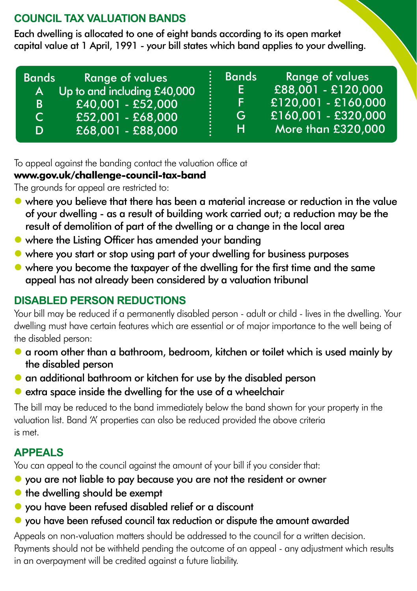# **COUNCIL TAX VALUATION BANDS**

Each dwelling is allocated to one of eight bands according to its open market capital value at 1 April, 1991 - your bill states which band applies to your dwelling.

| <b>Bands</b> | <b>Range of values</b>      | <b>Bands</b> | <b>Range of values</b> |
|--------------|-----------------------------|--------------|------------------------|
| <b>A</b>     | Up to and including £40,000 | E.           | £88,001 - £120,000     |
| B.           | £40,001 - £52,000           | F.           | £120,001 - £160,000    |
| C.           | £52,001 - £68,000           | G            | £160,001 - £320,000    |
| D            | £68,001 - £88,000           | н            | More than £320,000     |

To appeal against the banding contact the valuation office at

#### **www.gov.uk/challenge-council-tax-band**

The grounds for appeal are restricted to:

- where you believe that there has been a material increase or reduction in the value of your dwelling - as a result of building work carried out; a reduction may be the result of demolition of part of the dwelling or a change in the local area
- where the Listing Officer has amended your banding
- where you start or stop using part of your dwelling for business purposes
- where you become the taxpayer of the dwelling for the first time and the same appeal has not already been considered by a valuation tribunal

# **DISABLED PERSON REDUCTIONS**

Your bill may be reduced if a permanently disabled person - adult or child - lives in the dwelling. Your dwelling must have certain features which are essential or of major importance to the well being of the disabled person:

- a room other than a bathroom, bedroom, kitchen or toilet which is used mainly by the disabled person
- **•** an additional bathroom or kitchen for use by the disabled person
- $\bullet$  extra space inside the dwelling for the use of a wheelchair

The bill may be reduced to the band immediately below the band shown for your property in the valuation list. Band 'A' properties can also be reduced provided the above criteria is met.

# **APPEALS**

You can appeal to the council against the amount of your bill if you consider that:

- $\bullet$  vou are not liable to pay because you are not the resident or owner
- $\bullet$  the dwelling should be exempt
- you have been refused disabled relief or a discount
- you have been refused council tax reduction or dispute the amount awarded

Appeals on non-valuation matters should be addressed to the council for a written decision. Payments should not be withheld pending the outcome of an appeal - any adjustment which results in an overpayment will be credited against a future liability.